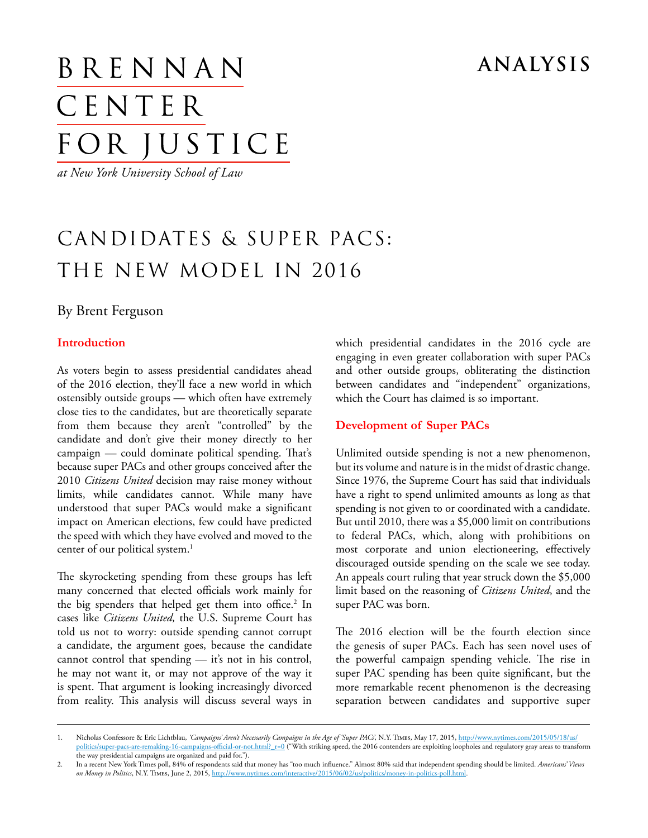### **analysis**

# BRENNAN CENTER FOR JUSTICE

*at New York University School of Law*

## candidates & super pacs: the new model in 2016

#### By Brent Ferguson

#### **Introduction**

As voters begin to assess presidential candidates ahead of the 2016 election, they'll face a new world in which ostensibly outside groups — which often have extremely close ties to the candidates, but are theoretically separate from them because they aren't "controlled" by the candidate and don't give their money directly to her campaign — could dominate political spending. That's because super PACs and other groups conceived after the 2010 *Citizens United* decision may raise money without limits, while candidates cannot. While many have understood that super PACs would make a significant impact on American elections, few could have predicted the speed with which they have evolved and moved to the center of our political system.<sup>1</sup>

The skyrocketing spending from these groups has left many concerned that elected officials work mainly for the big spenders that helped get them into office.<sup>2</sup> In cases like *Citizens United,* the U.S. Supreme Court has told us not to worry: outside spending cannot corrupt a candidate, the argument goes, because the candidate cannot control that spending — it's not in his control, he may not want it, or may not approve of the way it is spent. That argument is looking increasingly divorced from reality. This analysis will discuss several ways in

which presidential candidates in the 2016 cycle are engaging in even greater collaboration with super PACs and other outside groups, obliterating the distinction between candidates and "independent" organizations, which the Court has claimed is so important.

#### **Development of Super PACs**

Unlimited outside spending is not a new phenomenon, but its volume and nature is in the midst of drastic change. Since 1976, the Supreme Court has said that individuals have a right to spend unlimited amounts as long as that spending is not given to or coordinated with a candidate. But until 2010, there was a \$5,000 limit on contributions to federal PACs, which, along with prohibitions on most corporate and union electioneering, effectively discouraged outside spending on the scale we see today. An appeals court ruling that year struck down the \$5,000 limit based on the reasoning of *Citizens United*, and the super PAC was born.

The 2016 election will be the fourth election since the genesis of super PACs. Each has seen novel uses of the powerful campaign spending vehicle. The rise in super PAC spending has been quite significant, but the more remarkable recent phenomenon is the decreasing separation between candidates and supportive super

<sup>1.</sup> Nicholas Confessore & Eric Lichtblau, *'Campaigns' Aren't Necessarily Campaigns in the Age of 'Super PACs'*, N.Y. Times, May 17, 2015, [http://www.nytimes.com/2015/05/18/us/](http://www.nytimes.com/2015/05/18/us/politics/super-pacs-are-remaking-16-campaigns-official-or-not.html?_r=0) politics/super-pacs-are-remaking-16-campaigns-official-or-not.html? r=0 ("With striking speed, the 2016 contenders are exploiting loopholes and regulatory gray areas to transform the way presidential campaigns are organized and paid for.").

<sup>2.</sup> In a recent New York Times poll, 84% of respondents said that money has "too much influence." Almost 80% said that independent spending should be limited. *Americans' Views on Money in Politics*, N.Y. Times, June 2, 2015,<http://www.nytimes.com/interactive/2015/06/02/us/politics/money-in-politics-poll.html>.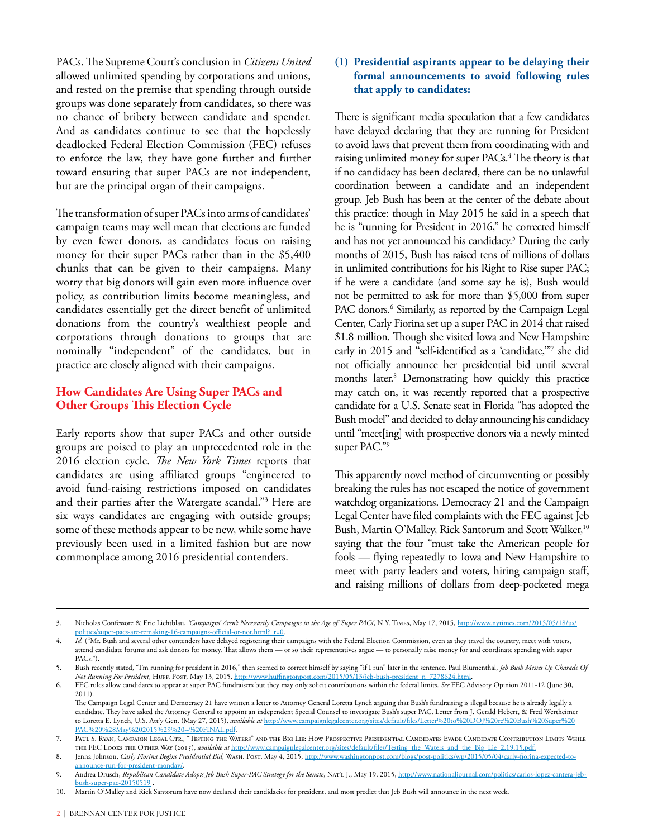PACs. The Supreme Court's conclusion in *Citizens United* allowed unlimited spending by corporations and unions, and rested on the premise that spending through outside groups was done separately from candidates, so there was no chance of bribery between candidate and spender. And as candidates continue to see that the hopelessly deadlocked Federal Election Commission (FEC) refuses to enforce the law, they have gone further and further toward ensuring that super PACs are not independent, but are the principal organ of their campaigns.

The transformation of super PACs into arms of candidates' campaign teams may well mean that elections are funded by even fewer donors, as candidates focus on raising money for their super PACs rather than in the \$5,400 chunks that can be given to their campaigns. Many worry that big donors will gain even more influence over policy, as contribution limits become meaningless, and candidates essentially get the direct benefit of unlimited donations from the country's wealthiest people and corporations through donations to groups that are nominally "independent" of the candidates, but in practice are closely aligned with their campaigns.

#### **How Candidates Are Using Super PACs and Other Groups This Election Cycle**

Early reports show that super PACs and other outside groups are poised to play an unprecedented role in the 2016 election cycle. *The New York Times* reports that candidates are using affiliated groups "engineered to avoid fund-raising restrictions imposed on candidates and their parties after the Watergate scandal."3 Here are six ways candidates are engaging with outside groups; some of these methods appear to be new, while some have previously been used in a limited fashion but are now commonplace among 2016 presidential contenders.

#### **(1) Presidential aspirants appear to be delaying their formal announcements to avoid following rules that apply to candidates:**

There is significant media speculation that a few candidates have delayed declaring that they are running for President to avoid laws that prevent them from coordinating with and raising unlimited money for super PACs.<sup>4</sup> The theory is that if no candidacy has been declared, there can be no unlawful coordination between a candidate and an independent group. Jeb Bush has been at the center of the debate about this practice: though in May 2015 he said in a speech that he is "running for President in 2016," he corrected himself and has not yet announced his candidacy.<sup>5</sup> During the early months of 2015, Bush has raised tens of millions of dollars in unlimited contributions for his Right to Rise super PAC; if he were a candidate (and some say he is), Bush would not be permitted to ask for more than \$5,000 from super PAC donors.<sup>6</sup> Similarly, as reported by the Campaign Legal Center, Carly Fiorina set up a super PAC in 2014 that raised \$1.8 million. Though she visited Iowa and New Hampshire early in 2015 and "self-identified as a 'candidate,'"7 she did not officially announce her presidential bid until several months later.8 Demonstrating how quickly this practice may catch on, it was recently reported that a prospective candidate for a U.S. Senate seat in Florida "has adopted the Bush model" and decided to delay announcing his candidacy until "meet[ing] with prospective donors via a newly minted super PAC."9

This apparently novel method of circumventing or possibly breaking the rules has not escaped the notice of government watchdog organizations. Democracy 21 and the Campaign Legal Center have filed complaints with the FEC against Jeb Bush, Martin O'Malley, Rick Santorum and Scott Walker,<sup>10</sup> saying that the four "must take the American people for fools — flying repeatedly to Iowa and New Hampshire to meet with party leaders and voters, hiring campaign staff, and raising millions of dollars from deep-pocketed mega

<sup>3.</sup> Nicholas Confessore & Eric Lichtblau, *'Campaigns' Aren't Necessarily Campaigns in the Age of 'Super PACs'*, N.Y. Times, May 17, 2015, [http://www.nytimes.com/2015/05/18/us/](http://www.nytimes.com/2015/05/18/us/politics/super-pacs-are-remaking-16-campaigns-official-or-not.html?_r=0) [politics/super-pacs-are-remaking-16-campaigns-official-or-not.html?\\_r=0](http://www.nytimes.com/2015/05/18/us/politics/super-pacs-are-remaking-16-campaigns-official-or-not.html?_r=0).

*Id.* ("Mr. Bush and several other contenders have delayed registering their campaigns with the Federal Election Commission, even as they travel the country, meet with voters, attend candidate forums and ask donors for money. That allows them — or so their representatives argue — to personally raise money for and coordinate spending with super PACs.").

<sup>5.</sup> Bush recently stated, "I'm running for president in 2016," then seemed to correct himself by saying "if I run" later in the sentence. Paul Blumenthal, *Jeb Bush Messes Up Charade Of Not Running For President*, Huff. Post, May 13, 2015, [http://www.huffingtonpost.com/2015/05/13/jeb-bush-president\\_n\\_7278624.html](http://www.huffingtonpost.com/2015/05/13/jeb-bush-president_n_7278624.html).

<sup>6.</sup> FEC rules allow candidates to appear at super PAC fundraisers but they may only solicit contributions within the federal limits. *See* FEC Advisory Opinion 2011-12 (June 30, 2011).

The Campaign Legal Center and Democracy 21 have written a letter to Attorney General Loretta Lynch arguing that Bush's fundraising is illegal because he is already legally a candidate. They have asked the Attorney General to appoint an independent Special Counsel to investigate Bush's super PAC. Letter from J. Gerald Hebert, & Fred Wertheimer to Loretta E. Lynch, U.S. Att'y Gen. (May 27, 2015), *available at* [http://www.campaignlegalcenter.org/sites/default/files/Letter%20to%20DOJ%20re%20Bush%20Super%20](http://www.campaignlegalcenter.org/sites/default/files/Letter to DOJ re Bush Super PAC %28May 2015%29 -- FINAL.pdf) [PAC%20%28May%202015%29%20--%20FINAL.pdf](http://www.campaignlegalcenter.org/sites/default/files/Letter to DOJ re Bush Super PAC %28May 2015%29 -- FINAL.pdf).

<sup>7.</sup> Paul S. Ryan, Campaign Legal Ctr., "Testing the Waters" and the Big Lie: How Prospective Presidential Candidates Evade Candidate Contribution Limits While the FEC Looks the Other Way (2015), *available at* [http://www.campaignlegalcenter.org/sites/default/files/Testing\\_the\\_Waters\\_and\\_the\\_Big\\_Lie\\_2.19.15.pdf.](http://www.campaignlegalcenter.org/sites/default/files/Testing_the_Waters_and_the_Big_Lie_2.19.15.pdf)

<sup>8.</sup> Jenna Johnson, *Carly Fiorina Begins Presidential Bid*, Wash. Post, May 4, 2015, [http://www.washingtonpost.com/blogs/post-politics/wp/2015/05/04/carly-fiorina-expected-to](http://www.washingtonpost.com/blogs/post-politics/wp/2015/05/04/carly-fiorina-expected-to-announce-run-for-president-monday/)[announce-run-for-president-monday/.](http://www.washingtonpost.com/blogs/post-politics/wp/2015/05/04/carly-fiorina-expected-to-announce-run-for-president-monday/)

<sup>9.</sup> Andrea Drusch, *Republican Candidate Adopts Jeb Bush Super-PAC Strategy for the Senate*, Nat'l J., May 19, 2015, [http://www.nationaljournal.com/politics/carlos-lopez-cantera-jeb](http://www.nationaljournal.com/politics/carlos-lopez-cantera-jeb-bush-super-pac-20150519)[bush-super-pac-20150519](http://www.nationaljournal.com/politics/carlos-lopez-cantera-jeb-bush-super-pac-20150519) .

<sup>10.</sup> Martin O'Malley and Rick Santorum have now declared their candidacies for president, and most predict that Jeb Bush will announce in the next week.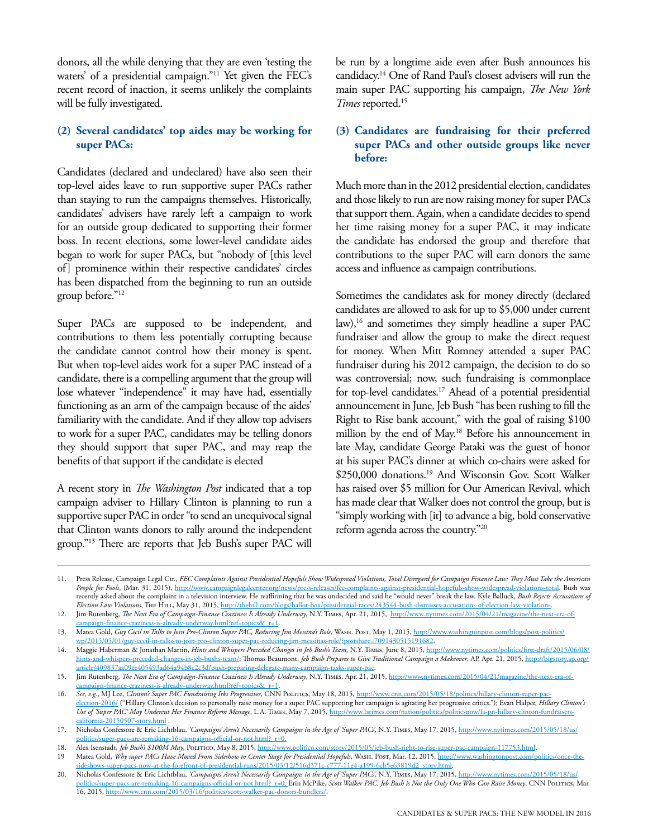donors, all the while denying that they are even 'testing the waters' of a presidential campaign."<sup>11</sup> Yet given the FEC's recent record of inaction, it seems unlikely the complaints will be fully investigated.

#### **(2) Several candidates' top aides may be working for super PACs:**

Candidates (declared and undeclared) have also seen their top-level aides leave to run supportive super PACs rather than staying to run the campaigns themselves. Historically, candidates' advisers have rarely left a campaign to work for an outside group dedicated to supporting their former boss. In recent elections, some lower-level candidate aides began to work for super PACs, but "nobody of [this level of] prominence within their respective candidates' circles has been dispatched from the beginning to run an outside group before."12

Super PACs are supposed to be independent, and contributions to them less potentially corrupting because the candidate cannot control how their money is spent. But when top-level aides work for a super PAC instead of a candidate, there is a compelling argument that the group will lose whatever "independence" it may have had, essentially functioning as an arm of the campaign because of the aides' familiarity with the candidate. And if they allow top advisers to work for a super PAC, candidates may be telling donors they should support that super PAC, and may reap the benefits of that support if the candidate is elected

A recent story in *The Washington Post* indicated that a top campaign adviser to Hillary Clinton is planning to run a supportive super PAC in order "to send an unequivocal signal that Clinton wants donors to rally around the independent group."13 There are reports that Jeb Bush's super PAC will

be run by a longtime aide even after Bush announces his candidacy.14 One of Rand Paul's closest advisers will run the main super PAC supporting his campaign, *The New York Times* reported.15

#### **(3) Candidates are fundraising for their preferred super PACs and other outside groups like never before:**

Much more than in the 2012 presidential election, candidates and those likely to run are now raising money for super PACs that support them. Again, when a candidate decides to spend her time raising money for a super PAC, it may indicate the candidate has endorsed the group and therefore that contributions to the super PAC will earn donors the same access and influence as campaign contributions.

Sometimes the candidates ask for money directly (declared candidates are allowed to ask for up to \$5,000 under current law),<sup>16</sup> and sometimes they simply headline a super PAC fundraiser and allow the group to make the direct request for money. When Mitt Romney attended a super PAC fundraiser during his 2012 campaign, the decision to do so was controversial; now, such fundraising is commonplace for top-level candidates.<sup>17</sup> Ahead of a potential presidential announcement in June, Jeb Bush "has been rushing to fill the Right to Rise bank account," with the goal of raising \$100 million by the end of May.<sup>18</sup> Before his announcement in late May, candidate George Pataki was the guest of honor at his super PAC's dinner at which co-chairs were asked for \$250,000 donations.<sup>19</sup> And Wisconsin Gov. Scott Walker has raised over \$5 million for Our American Revival, which has made clear that Walker does not control the group, but is "simply working with [it] to advance a big, bold conservative reform agenda across the country."20

<sup>11.</sup> Press Release, Campaign Legal Ctr., *FEC Complaints Against Presidential Hopefuls Show Widespread Violations, Total Disregard for Campaign Finance Law: They Must Take the American People for Fools*, (Mar. 31, 2015), <http://www.campaignlegalcenter.org/news/press-releases/fec-complaints-against-presidential-hopefuls-show-widespread-violations-total>. Bush was recently asked about the complaint in a television interview. He reaffirming that he was undecided and said he "would never" break the law. Kyle Balluck, *Bush Rejects Accusations of Election Law Violations*, The Hill, May 31, 2015, <http://thehill.com/blogs/ballot-box/presidential-races/243544-bush-dismisses-accusations-of-election-law-violations>.

<sup>12.</sup> Jim Rutenberg, *The Next Era of Campaign-Finance Craziness Is Already Underway*, N.Y. Times, Apr. 21, 2015, [http://www.nytimes.com/2015/04/21/magazine/the-next-era-of](http://www.nytimes.com/2015/04/21/magazine/the-next-era-of-campaign-finance-craziness-is-already-underway.html?ref=topics&_r=1)[campaign-finance-craziness-is-already-underway.html?ref=topics&\\_r=1](http://www.nytimes.com/2015/04/21/magazine/the-next-era-of-campaign-finance-craziness-is-already-underway.html?ref=topics&_r=1).

<sup>13.</sup> Matea Gold, *Guy Cecil in Talks to Join Pro-Clinton Super PAC, Reducing Jim Messina's Role*, Wash. Post, May 1, 2015, [http://www.washingtonpost.com/blogs/post-politics/](http://www.washingtonpost.com/blogs/post-politics/wp/2015/05/01/guy-cecil-in-talks-to-join-pro-clinton-super-pac-reducing-jim-messinas-role/?postshare=7091430515191682) [wp/2015/05/01/guy-cecil-in-talks-to-join-pro-clinton-super-pac-reducing-jim-messinas-role/?postshare=7091430515191682.](http://www.washingtonpost.com/blogs/post-politics/wp/2015/05/01/guy-cecil-in-talks-to-join-pro-clinton-super-pac-reducing-jim-messinas-role/?postshare=7091430515191682)

<sup>14.</sup> Maggie Haberman & Jonathan Martin, *Hints and Whispers Preceded Changes in Jeb Bush's Team*, N.Y. Times, June 8, 2015, [http://www.nytimes.com/politics/first-draft/2015/06/08/](http://www.nytimes.com/politics/first-draft/2015/06/08/hints-and-whispers-preceded-changes-in-jeb-bushs-team/) [hints-and-whispers-preceded-changes-in-jeb-bushs-team/](http://www.nytimes.com/politics/first-draft/2015/06/08/hints-and-whispers-preceded-changes-in-jeb-bushs-team/); Thomas Beaumont, *Jeb Bush Prepares to Give Traditional Campaign a Makeover*, AP, Apr. 21, 2015, [http://bigstory.ap.org/](http://bigstory.ap.org/article/409837aa09ee405493ad64a94b8c2c3d/bush-preparing-delegate-many-campaign-tasks-super-pac) [article/409837aa09ee405493ad64a94b8c2c3d/bush-preparing-delegate-many-campaign-tasks-super-pac.](http://bigstory.ap.org/article/409837aa09ee405493ad64a94b8c2c3d/bush-preparing-delegate-many-campaign-tasks-super-pac)

<sup>15.</sup> Jim Rutenberg, *The Next Era of Campaign-Finance Craziness Is Already Underway*, N.Y. Times, Apr. 21, 2015, [http://www.nytimes.com/2015/04/21/magazine/the-next-era-of](http://www.nytimes.com/2015/04/21/magazine/the-next-era-of-campaign-finance-craziness-is-already-underway.html?ref=topics&_r=1)[campaign-finance-craziness-is-already-underway.html?ref=topics&\\_r=1](http://www.nytimes.com/2015/04/21/magazine/the-next-era-of-campaign-finance-craziness-is-already-underway.html?ref=topics&_r=1).

<sup>16.</sup> *See, e.g.*, MJ Lee, *Clinton's Super PAC Fundraising Irks Progressives*, CNN Politics, May 18, 2015, [http://www.cnn.com/2015/05/18/politics/hillary-clinton-super-pac](http://www.cnn.com/2015/05/18/politics/hillary-clinton-super-pac-election-2016/)ection-2016/ ("Hillary Clinton's decision to personally raise money for a super PAC supporting her campaign is agitating her progressive critics."); Evan Halper, *Hillary Clinton's Use of 'Super PAC' May Undercut Her Finance Reform Message*, L.A. Times, May 7, 2015, [http://www.latimes.com/nation/politics/politicsnow/la-pn-hillary-clinton-fundraisers](http://www.latimes.com/nation/politics/politicsnow/la-pn-hillary-clinton-fundraisers-california-20150507-story.html)[california-20150507-story.html](http://www.latimes.com/nation/politics/politicsnow/la-pn-hillary-clinton-fundraisers-california-20150507-story.html)

<sup>17.</sup> Nicholas Confessore & Eric Lichtblau, *'Campaigns' Aren't Necessarily Campaigns in the Age of 'Super PACs'*, N.Y. Times, May 17, 2015, [http://www.nytimes.com/2015/05/18/us/](http://www.nytimes.com/2015/05/18/us/politics/super-pacs-are-remaking-16-campaigns-official-or-not.html?_r=0) [politics/super-pacs-are-remaking-16-campaigns-official-or-not.html?\\_r=0](http://www.nytimes.com/2015/05/18/us/politics/super-pacs-are-remaking-16-campaigns-official-or-not.html?_r=0).

<sup>18.</sup> Alex Isenstadt, *Jeb Bush's \$100M May*, Politico, May 8, 2015, http://www.politico.com/story/2015/05/jeb-bush-right-to-rise-super-pac-campaign-117753.html.

<sup>19</sup> Matea Gold, *Why super PACs Have Moved From Sideshow to Center Stage for Presidential Hopefuls*, Wash. Post, Mar. 12, 2015, [http://www.washingtonpost.com/politics/once-the](http://www.washingtonpost.com/politics/once-the-sideshows-super-pacs-now-at-the-forefront-of-presidential-runs/2015/03/12/516d371c-c777-11e4-a199-6cb5e63819d2_story.html)[sideshows-super-pacs-now-at-the-forefront-of-presidential-runs/2015/03/12/516d371c-c777-11e4-a199-6cb5e63819d2\\_story.html](http://www.washingtonpost.com/politics/once-the-sideshows-super-pacs-now-at-the-forefront-of-presidential-runs/2015/03/12/516d371c-c777-11e4-a199-6cb5e63819d2_story.html)

<sup>20.</sup> Nicholas Confessore & Eric Lichtblau, *'Campaigns' Aren't Necessarily Campaigns in the Age of 'Super PACs'*, N.Y. Times, May 17, 2015, [http://www.nytimes.com/2015/05/18/us/](http://www.nytimes.com/2015/05/18/us/politics/super-pacs-are-remaking-16-campaigns-official-or-not.html?_r=0) [politics/super-pacs-are-remaking-16-campaigns-official-or-not.html?\\_r=0](http://www.nytimes.com/2015/05/18/us/politics/super-pacs-are-remaking-16-campaigns-official-or-not.html?_r=0); Erin McPike, Scott Walker PAC: Jeb Bush is Not the Only One Who Can Raise Money, CNN Politics/ 16, 2015,<http://www.cnn.com/2015/03/16/politics/scott-walker-pac-donors-bundlers/>.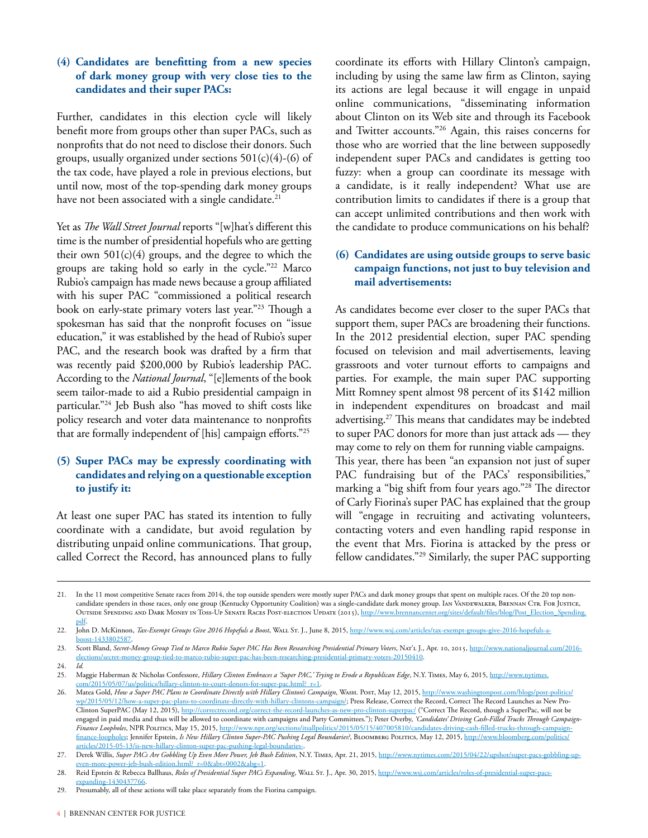#### **(4) Candidates are benefitting from a new species of dark money group with very close ties to the candidates and their super PACs:**

Further, candidates in this election cycle will likely benefit more from groups other than super PACs, such as nonprofits that do not need to disclose their donors. Such groups, usually organized under sections  $501(c)(4)-(6)$  of the tax code, have played a role in previous elections, but until now, most of the top-spending dark money groups have not been associated with a single candidate.<sup>21</sup>

Yet as *The Wall Street Journal* reports "[w]hat's different this time is the number of presidential hopefuls who are getting their own  $501(c)(4)$  groups, and the degree to which the groups are taking hold so early in the cycle."22 Marco Rubio's campaign has made news because a group affiliated with his super PAC "commissioned a political research book on early-state primary voters last year."23 Though a spokesman has said that the nonprofit focuses on "issue education," it was established by the head of Rubio's super PAC, and the research book was drafted by a firm that was recently paid \$200,000 by Rubio's leadership PAC. According to the *National Journal*, "[e]lements of the book seem tailor-made to aid a Rubio presidential campaign in particular."24 Jeb Bush also "has moved to shift costs like policy research and voter data maintenance to nonprofits that are formally independent of [his] campaign efforts."25

#### **(5) Super PACs may be expressly coordinating with candidates and relying on a questionable exception to justify it:**

At least one super PAC has stated its intention to fully coordinate with a candidate, but avoid regulation by distributing unpaid online communications. That group, called Correct the Record, has announced plans to fully coordinate its efforts with Hillary Clinton's campaign, including by using the same law firm as Clinton, saying its actions are legal because it will engage in unpaid online communications, "disseminating information about Clinton on its Web site and through its Facebook and Twitter accounts."26 Again, this raises concerns for those who are worried that the line between supposedly independent super PACs and candidates is getting too fuzzy: when a group can coordinate its message with a candidate, is it really independent? What use are contribution limits to candidates if there is a group that can accept unlimited contributions and then work with the candidate to produce communications on his behalf?

#### **(6) Candidates are using outside groups to serve basic campaign functions, not just to buy television and mail advertisements:**

As candidates become ever closer to the super PACs that support them, super PACs are broadening their functions. In the 2012 presidential election, super PAC spending focused on television and mail advertisements, leaving grassroots and voter turnout efforts to campaigns and parties. For example, the main super PAC supporting Mitt Romney spent almost 98 percent of its \$142 million in independent expenditures on broadcast and mail advertising.27 This means that candidates may be indebted to super PAC donors for more than just attack ads — they may come to rely on them for running viable campaigns. This year, there has been "an expansion not just of super PAC fundraising but of the PACs' responsibilities," marking a "big shift from four years ago."28 The director of Carly Fiorina's super PAC has explained that the group will "engage in recruiting and activating volunteers, contacting voters and even handling rapid response in the event that Mrs. Fiorina is attacked by the press or fellow candidates."29 Similarly, the super PAC supporting

<sup>21.</sup> In the 11 most competitive Senate races from 2014, the top outside spenders were mostly super PACs and dark money groups that spent on multiple races. Of the 20 top noncandidate spenders in those races, only one group (Kentucky Opportunity Coalition) was a single-candidate dark money group. Ian Vandewalker, Brennan Ctr. For Justice, OUTSIDE SPENDING AND DARK MONEY IN TOSS-UP SENATE RACES POST-ELECTION UPDATE (2015), http://www.brennancenter.org/sites/default/files/blog/Post\_Election\_Spending [pdf.](http://www.brennancenter.org/sites/default/files/blog/Post_Election_Spending.pdf)

<sup>22.</sup> John D. McKinnon, *Tax-Exempt Groups Give 2016 Hopefuls a Boost*, Wall St. J., June 8, 2015, [http://www.wsj.com/articles/tax-exempt-groups-give-2016-hopefuls-a](http://www.wsj.com/articles/tax-exempt-groups-give-2016-hopefuls-a-boost-1433802587)[boost-1433802587.](http://www.wsj.com/articles/tax-exempt-groups-give-2016-hopefuls-a-boost-1433802587)

<sup>23.</sup> Scott Bland, *Secret-Money Group Tied to Marco Rubio Super PAC Has Been Researching Presidential Primary Voters*, Nat'l J., Apr. 10, 2015, [http://www.nationaljournal.com/2016](http://www.nationaljournal.com/2016-elections/secret-money-group-tied-to-marco-rubio-super-pac-has-been-researching-presidential-primary-voters-20150410) [elections/secret-money-group-tied-to-marco-rubio-super-pac-has-been-researching-presidential-primary-voters-20150410.](http://www.nationaljournal.com/2016-elections/secret-money-group-tied-to-marco-rubio-super-pac-has-been-researching-presidential-primary-voters-20150410)

<sup>24.</sup> *Id.*

<sup>25.</sup> Maggie Haberman & Nicholas Confessore, *Hillary Clinton Embraces a 'Super PAC,' Trying to Erode a Republican Edge*, N.Y. Times, May 6, 2015, [http://www.nytimes.](http://www.nytimes.com/2015/05/07/us/politics/hillary-clinton-to-court-donors-for-super-pac.html?_r=1) [com/2015/05/07/us/politics/hillary-clinton-to-court-donors-for-super-pac.html?\\_r=1.](http://www.nytimes.com/2015/05/07/us/politics/hillary-clinton-to-court-donors-for-super-pac.html?_r=1)

<sup>26.</sup> Matea Gold, How a Super PAC Plans to Coordinate Directly with Hillary Clinton's Campaign, WASH. Post, May 12, 2015, [http://www.washingtonpost.com/blogs/post-politics/](http://www.washingtonpost.com/blogs/post-politics/wp/2015/05/12/how-a-super-pac-plans-to-coordinate-directly-with-hillary-clintons-campaign/) [wp/2015/05/12/how-a-super-pac-plans-to-coordinate-directly-with-hillary-clintons-campaign/;](http://www.washingtonpost.com/blogs/post-politics/wp/2015/05/12/how-a-super-pac-plans-to-coordinate-directly-with-hillary-clintons-campaign/) Press Release, Correct the Record, Correct The Record Launches as New ProClinton SuperPAC (May 12, 2015),<http://correctrecord.org/correct-the-record-launches-as-new-pro-clinton-superpac/> ("Correct The Record, though a SuperPac, will not be engaged in paid media and thus will be allowed to coordinate with campaigns and Party Committees."); Peter Overby, *'Candidates' Driving Cash-Filled Trucks Through Campaign-Finance Loopholes*, NPR Politics, May 15, 2015, [http://www.npr.org/sections/itsallpolitics/2015/05/15/407005810/candidates-driving-cash-filled-trucks-through-campaign](http://www.npr.org/sections/itsallpolitics/2015/05/15/407005810/candidates-driving-cash-filled-trucks-through-campaign-finance-loopholes)[finance-loopholes](http://www.npr.org/sections/itsallpolitics/2015/05/15/407005810/candidates-driving-cash-filled-trucks-through-campaign-finance-loopholes); Jennifer Epstein, *Is New Hillary Clinton Super-PAC Pushing Legal Boundaries*?, BLOOMBERG POLITICS, May 12, 2015, [http://www.bloomberg.com/politics/](http://www.bloomberg.com/politics/articles/2015-05-13/is-new-hillary-clinton-super-pac-pushing-legal-boundaries-) articles/2015-05-13/is-new-hillary-clinton-super-pac-pushing-legal-boundarie

<sup>27.</sup> Derek Willis, *Super PACs Are Gobbling Up Even More Power, Jeb Bush Edition*, N.Y. Times, Apr. 21, 2015, [http://www.nytimes.com/2015/04/22/upshot/super-pacs-gobbling-up](http://www.nytimes.com/2015/04/22/upshot/super-pacs-gobbling-up-even-more-power-jeb-bush-edition.html?_r=0&abt=0002&abg=1)[even-more-power-jeb-bush-edition.html?\\_r=0&abt=0002&abg=1.](http://www.nytimes.com/2015/04/22/upshot/super-pacs-gobbling-up-even-more-power-jeb-bush-edition.html?_r=0&abt=0002&abg=1)

<sup>28.</sup> Reid Epstein & Rebecca Ballhaus, *Roles of Presidential Super PACs Expanding*, Wall St. J., Apr. 30, 2015, [http://www.wsj.com/articles/roles-of-presidential-super-pacs](http://www.wsj.com/articles/roles-of-presidential-super-pacs-expanding-1430437766)[expanding-1430437766](http://www.wsj.com/articles/roles-of-presidential-super-pacs-expanding-1430437766).

<sup>29.</sup> Presumably, all of these actions will take place separately from the Fiorina campaign.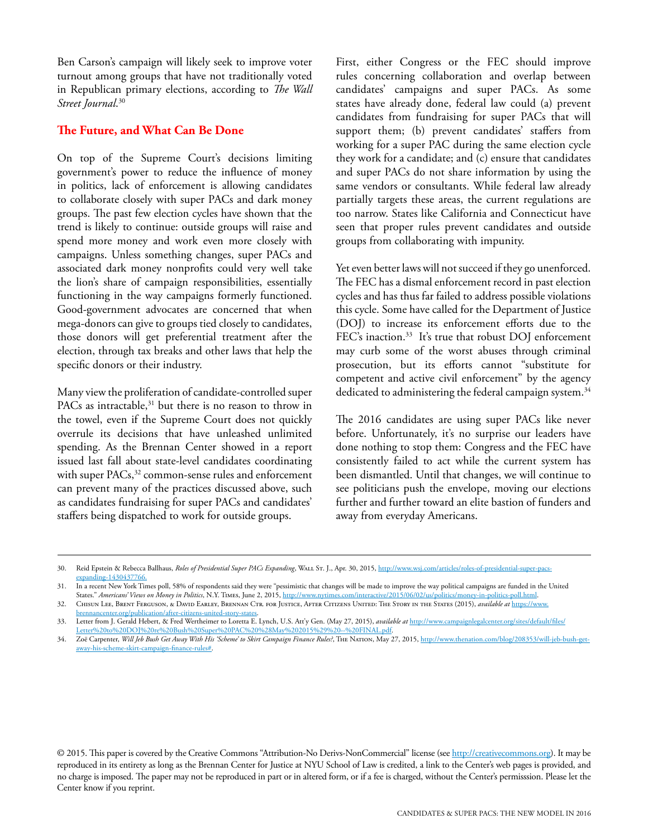Ben Carson's campaign will likely seek to improve voter turnout among groups that have not traditionally voted in Republican primary elections, according to *The Wall Street Journal*. 30

#### **The Future, and What Can Be Done**

On top of the Supreme Court's decisions limiting government's power to reduce the influence of money in politics, lack of enforcement is allowing candidates to collaborate closely with super PACs and dark money groups. The past few election cycles have shown that the trend is likely to continue: outside groups will raise and spend more money and work even more closely with campaigns. Unless something changes, super PACs and associated dark money nonprofits could very well take the lion's share of campaign responsibilities, essentially functioning in the way campaigns formerly functioned. Good-government advocates are concerned that when mega-donors can give to groups tied closely to candidates, those donors will get preferential treatment after the election, through tax breaks and other laws that help the specific donors or their industry.

Many view the proliferation of candidate-controlled super PACs as intractable, $31$  but there is no reason to throw in the towel, even if the Supreme Court does not quickly overrule its decisions that have unleashed unlimited spending. As the Brennan Center showed in a report issued last fall about state-level candidates coordinating with super PACs,<sup>32</sup> common-sense rules and enforcement can prevent many of the practices discussed above, such as candidates fundraising for super PACs and candidates' staffers being dispatched to work for outside groups.

First, either Congress or the FEC should improve rules concerning collaboration and overlap between candidates' campaigns and super PACs. As some states have already done, federal law could (a) prevent candidates from fundraising for super PACs that will support them; (b) prevent candidates' staffers from working for a super PAC during the same election cycle they work for a candidate; and (c) ensure that candidates and super PACs do not share information by using the same vendors or consultants. While federal law already partially targets these areas, the current regulations are too narrow. States like California and Connecticut have seen that proper rules prevent candidates and outside groups from collaborating with impunity.

Yet even better laws will not succeed if they go unenforced. The FEC has a dismal enforcement record in past election cycles and has thus far failed to address possible violations this cycle. Some have called for the Department of Justice (DOJ) to increase its enforcement efforts due to the FEC's inaction.<sup>33</sup> It's true that robust DOJ enforcement may curb some of the worst abuses through criminal prosecution, but its efforts cannot "substitute for competent and active civil enforcement" by the agency dedicated to administering the federal campaign system.<sup>34</sup>

The 2016 candidates are using super PACs like never before. Unfortunately, it's no surprise our leaders have done nothing to stop them: Congress and the FEC have consistently failed to act while the current system has been dismantled. Until that changes, we will continue to see politicians push the envelope, moving our elections further and further toward an elite bastion of funders and away from everyday Americans.

© 2015. This paper is covered by the Creative Commons "Attribution-No Derivs-NonCommercial" license (see<http://creativecommons.org>). It may be reproduced in its entirety as long as the Brennan Center for Justice at NYU School of Law is credited, a link to the Center's web pages is provided, and no charge is imposed. The paper may not be reproduced in part or in altered form, or if a fee is charged, without the Center's permisssion. Please let the Center know if you reprint.

<sup>30.</sup> Reid Epstein & Rebecca Ballhaus, *Roles of Presidential Super PACs Expanding*, Wall St. J., Apr. 30, 2015, [http://www.wsj.com/articles/roles-of-presidential-super-pacs](http://www.wsj.com/articles/roles-of-presidential-super-pacs-expanding-1430437766)[expanding-1430437766](http://www.wsj.com/articles/roles-of-presidential-super-pacs-expanding-1430437766).

<sup>31.</sup> In a recent New York Times poll, 58% of respondents said they were "pessimistic that changes will be made to improve the way political campaigns are funded in the United States." *Americans' Views on Money in Politics*, N.Y. Times, June 2, 2015,<http://www.nytimes.com/interactive/2015/06/02/us/politics/money-in-politics-poll.html>.

<sup>32.</sup> Chisun Lee, Brent Ferguson, & David Earley, Brennan Ctr. for Justice, After Citizens United: The Story in the States (2015), *available at* [https://www.](https://www.brennancenter.org/publication/after-citizens-united-story-states) [brennancenter.org/publication/after-citizens-united-story-states.](https://www.brennancenter.org/publication/after-citizens-united-story-states)

<sup>33.</sup> Letter from J. Gerald Hebert, & Fred Wertheimer to Loretta E. Lynch, U.S. Att'y Gen. (May 27, 2015), *available at* [http://www.campaignlegalcenter.org/sites/default/files/](http://www.campaignlegalcenter.org/sites/default/files/Letter to DOJ re Bush Super PAC %28May 2015%29 -- FINAL.pdf) [Letter%20to%20DOJ%20re%20Bush%20Super%20PAC%20%28May%202015%29%20--%20FINAL.pdf](http://www.campaignlegalcenter.org/sites/default/files/Letter to DOJ re Bush Super PAC %28May 2015%29 -- FINAL.pdf).

<sup>34.</sup> Zoë Carpenter, *Will Jeb Bush Get Away With His 'Scheme' to Skirt Campaign Finance Rules?*, The Nation, May 27, 2015, [http://www.thenation.com/blog/208353/will-jeb-bush-get](http://www.thenation.com/blog/208353/will-jeb-bush-get-away-his-scheme-skirt-campaign-finance-rules#)[away-his-scheme-skirt-campaign-finance-rules#.](http://www.thenation.com/blog/208353/will-jeb-bush-get-away-his-scheme-skirt-campaign-finance-rules#)